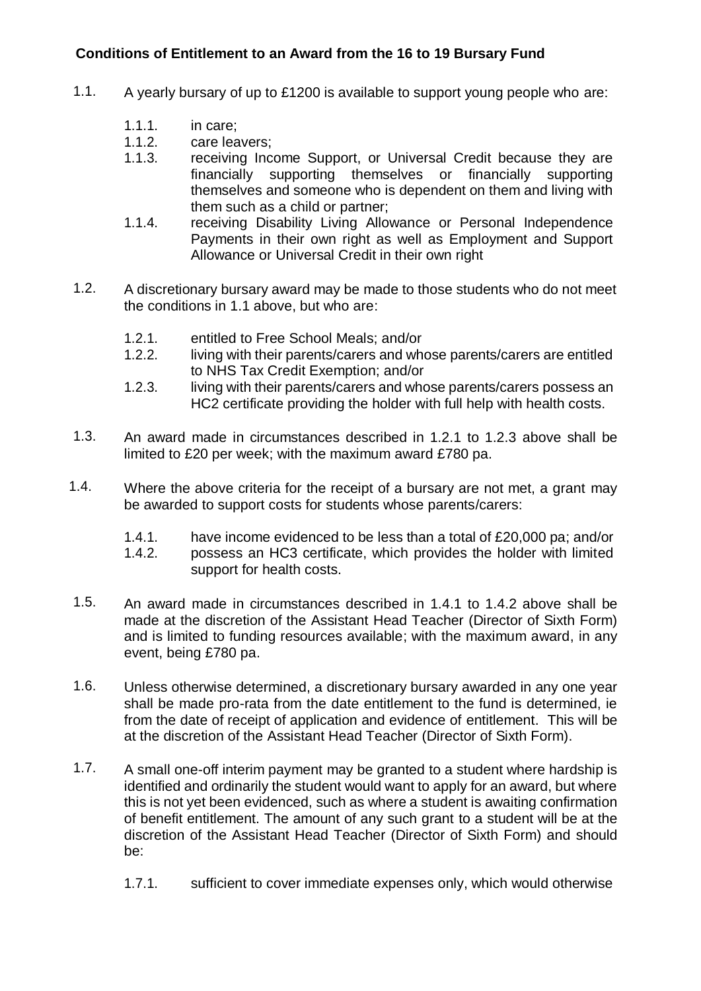## **Conditions of Entitlement to an Award from the 16 to 19 Bursary Fund**

- 1.1. A yearly bursary of up to £1200 is available to support young people who are:
	- 1.1.1. in care;
	- 1.1.2. care leavers;
	- 1.1.3. receiving Income Support, or Universal Credit because they are financially supporting themselves or financially supporting themselves and someone who is dependent on them and living with them such as a child or partner;
	- 1.1.4. receiving Disability Living Allowance or Personal Independence Payments in their own right as well as Employment and Support Allowance or Universal Credit in their own right
- 1.2. A discretionary bursary award may be made to those students who do not meet the conditions in 1.1 above, but who are:
	- 1.2.1. entitled to Free School Meals; and/or
	- 1.2.2. living with their parents/carers and whose parents/carers are entitled to NHS Tax Credit Exemption; and/or
	- 1.2.3. living with their parents/carers and whose parents/carers possess an HC2 certificate providing the holder with full help with health costs.
- 1.3. An award made in circumstances described in 1.2.1 to 1.2.3 above shall be limited to £20 per week; with the maximum award £780 pa.
- 1.4. Where the above criteria for the receipt of a bursary are not met, a grant may be awarded to support costs for students whose parents/carers:
	- 1.4.1. have income evidenced to be less than a total of £20,000 pa; and/or
	- 1.4.2. possess an HC3 certificate, which provides the holder with limited support for health costs.
- 1.5. An award made in circumstances described in 1.4.1 to 1.4.2 above shall be made at the discretion of the Assistant Head Teacher (Director of Sixth Form) and is limited to funding resources available; with the maximum award, in any event, being £780 pa.
- 1.6. Unless otherwise determined, a discretionary bursary awarded in any one year shall be made pro-rata from the date entitlement to the fund is determined, ie from the date of receipt of application and evidence of entitlement. This will be at the discretion of the Assistant Head Teacher (Director of Sixth Form).
- 1.7. A small one-off interim payment may be granted to a student where hardship is identified and ordinarily the student would want to apply for an award, but where this is not yet been evidenced, such as where a student is awaiting confirmation of benefit entitlement. The amount of any such grant to a student will be at the discretion of the Assistant Head Teacher (Director of Sixth Form) and should be:
	- 1.7.1. sufficient to cover immediate expenses only, which would otherwise